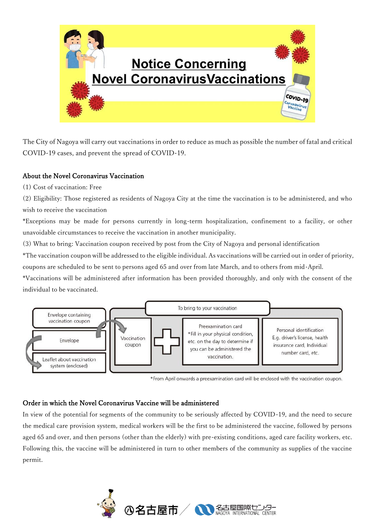

The City of Nagoya will carry out vaccinations in order to reduce as much as possible the number of fatal and critical COVID-19 cases, and prevent the spread of COVID-19.

## About the Novel Coronavirus Vaccination

(1) Cost of vaccination: Free

(2) Eligibility: Those registered as residents of Nagoya City at the time the vaccination is to be administered, and who wish to receive the vaccination

\*Exceptions may be made for persons currently in long-term hospitalization, confinement to a facility, or other unavoidable circumstances to receive the vaccination in another municipality.

(3) What to bring: Vaccination coupon received by post from the City of Nagoya and personal identification

\*The vaccination coupon will be addressed to the eligible individual. As vaccinations will be carried out in order of priority, coupons are scheduled to be sent to persons aged 65 and over from late March, and to others from mid-April.

\*Vaccinations will be administered after information has been provided thoroughly, and only with the consent of the individual to be vaccinated.



\*From April onwards a preexamination card will be enclosed with the vaccination coupon.

## Order in which the Novel Coronavirus Vaccine will be administered

In view of the potential for segments of the community to be seriously affected by COVID-19, and the need to secure the medical care provision system, medical workers will be the first to be administered the vaccine, followed by persons aged 65 and over, and then persons (other than the elderly) with pre-existing conditions, aged care facility workers, etc. Following this, the vaccine will be administered in turn to other members of the community as supplies of the vaccine permit.